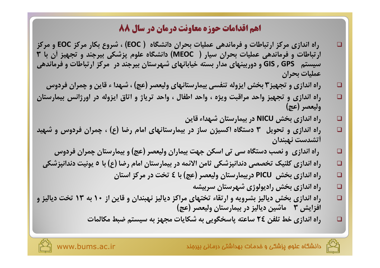- ,اه اندازي مركز ا, تباطات و فرماندهي عمليات بحران دانشگاه ( EOC) ، شروع بكار مركز EOC و مركز ارتباطات و فرماندهی عملیات بحران سیار ( MEOC) دانشگاه علوم پزشکی بیرجند و تجهیز آن با ۳ سیستم GIS , GPS و دوربینهای مدار بسته خیابانهای شهرستان بیرجند در مرکز ارتباطات و فرماندهی عمليات يحران
	- راه اندازی و تجهیز۳ بخش ایزوله تنفسی بیمارستانهای ولیعصر (عج) ، شهدا ء قاین و چمران فردوس
- راه اندازی و تجهیز واحد مراقبت ویژه ، واحد اطفال ، واحد تریاژ و اتاق ایزوله در اورژانس بیمارستان وليعصر (عج)
	- راه اندازی بخش NICU در بیمارستان شهداء قاین  $\Box$

 $\Box$ 

 $\Box$ 

 $\Box$ 

 $\Box$ 

 $\Box$ 

 $\Box$ 

 $\Box$ 

 $\Box$ 

 $\Box$ 

- راه اندازی و تحویل ۳ دستگاه اکسیژن ساز در بیمارستانهای امام رضا (ع) ، چمران فردوس و شهید اتشدست نهبندان
	- راه اندازی و نصب دستگاه سی تی اسکن جهت بیماران ولیعصر (عج) و بیمارستان چمران فردوس
	- راه اندازی کلنیک تخصصی دندانپزشکی ثامن الائمه در بیمارستان امام رضا (ع) با ٥ یونیت دندانپزشکی
		- راه اندازی بخش PICU دربیمارستان ولیعصر (عج) با ٤ تخت در مركز استان
			- راه اندازی بخش رادیولوژی شهرستان سربیشه
- راه اندازی بخش دیالیز بشرویه و ارتقاء تختهای مراکز دیالیز نهبندان و قاین از ۱۰ به ۱۳ تخت دیالیز و افزایش ۳٪ ماشین دیالیز در بیمارستان ولیعصر (عج)
	- راه اندازی خط تلفن ٢٤ ساعته پاسخگویی به شکایات مجهز به سیستم ضبط مکالمات

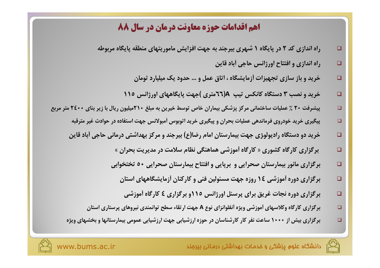- راه اندازی کد ۲ در پایگاه ۱ شهری بپرجند به جهت افزایش ماموریتهای منطقه پایگاه مربوطه  $\Box$ 
	- راه اندازي و افتتاح اورژانس حاجي أباد قاين  $\Box$

 $\Box$ 

 $\Box$ 

- خرید و باز سازی تجهیزات آزمایشگاه ، اتاق عمل و … حدود یک میلیارد تومان  $\Box$
- خرید و نصب ۳ دستگاه کانکس تیپ A(٦٦متری )جهت پایگاههای اورژانس ١١٥  $\Box$
- پیشرفت ۲۰ ٪ عملیات ساختمانی مرکز پزشکی بیماران خاص توسط خیرین به مبلغ ۲۱۰میلیون ریال با زیر بنای ۲۶۰۰ متر مربع  $\Box$ 
	- پیگیری خرید خودروی فرماندهی عملیات بحران و پیگیری خرید اتوبوس آمبولانس جهت استفاده در حوادث غیر مترقبه  $\Box$
	- خرید دو دستگاه رادیولوژی جهت بیمارستان امام رضا(ع) بیرجند و مرکز بهداشتی درمانی حاجی آباد قاین
		- برگزاری کارگاه کشوری « کارگاه أموزشی هماهنگی نظام سلامت در مدیریت بحران »  $\Box$
		- برگزاری مانور بیمارستان صحرایی و برپایی و افتتاح بیمارستان صحرایی ٥٠ تختخوابی  $\Box$ 
			- برگزاری دوره أموزشی ١٤ روزه جهت مسئولین فنی و كاركنان أزمایشگاههای استان  $\Box$ 
				- برگزاری دوره نجات غریق برای پرسنل اورژانس ۱۱۵و برگزاری ٤ کارگاه أموزشی  $\Box$
		- برگزاری کارگاه وکلاسهای آموزشی ویژه آنفلوانزای نوع A جهت ارتقاء سطح توانمندی نیروهای پرستاری استان  $\Box$
	- برگزاری بیش از ۱۰۰۰ ساعت نفر کار کارشناسان در حوزه ارزشیابی جهت ارزشیابی عمومی بیمارستانها و بخشهای ویژه

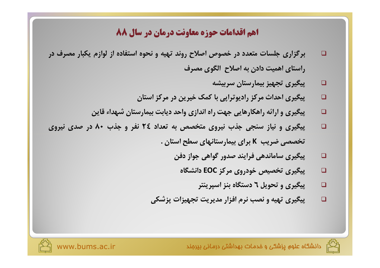- برگزاری جلسات متعدد در خصوص اصلاح روند تهیه و نحوه استفاده از لوازم یکبار مصرف در  $\Box$ راستای اهمیت دادن به اصلاح الگوی مصرف
	- پیگیری تجهیز بیمارستان سربیشه □
	- پیگیری احداث مرکز رادیوترایی با کمک خیرین در مرکز استان  $\Box$
	- پیگیری و ارائه راهکارهایی جهت راه اندازی واحد دیابت بیمارستان شهداء قاین □
- پیگیری و نیاز سنجی جذب نیروی متخصص به تعداد ٢٤ نفر و جذب ٨٠ در صدی نیروی □ تخصصی ضریب K برای بیمارستانهای سطح استان .
	- پیگیری ساماندهی فرایند صدور گواهی جواز دفن  $\Box$ 
		- پیگیری تخصیص خودروی مرکز EOC دانشگاه  $\Box$ 
			- پیگیری و تحویل ٦ دستگاه بنز اسپرینتر  $\Box$
	- پیگیری تهیه و نصب نرم افزار مدیریت تجهیزات پزشکی  $\Box$

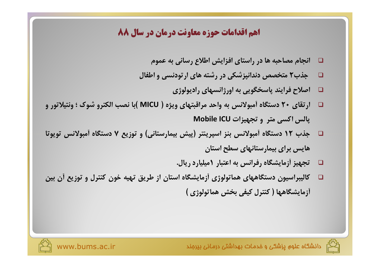- انجام مصاحبه ها در راستای افزایش اطلاع رسانی به عموم  $\Box$
- جذب۲ متخصص دندانپزشکی در رشته های ارتودنسی و اطفال  $\Box$ 
	- □ اصلاح فرايند پاسخگويي به اورژانسهاي راديولوژي
- ارتقای ۲۰ دستگاه آمبولانس به واحد مراقبتهای ویژه ( MICU )با نصب الکترو شوک ؛ ونتیلاتور و  $\Box$ یالس اکسی متر و تجهیزات Mobile ICU
- □ \_ جذب ١٢ دستگاه أمبولانس بنز اسپرينتر (پيش بيمارستاني) و توزيع ٧ دستگاه أمبولانس تويوتا هایس برای بیمارستانهای سطح استان
	- □ تجهیز أزمایشگاه رفرانس به اعتبار ۱میلیارد ریال.
- □ گالیبراسیون دستگاههای هماتولوژی آزمایشگاه استان از طریق تهیه خون کنترل و توزیع آن بین أزمايشگاهها ( كنترل كيفي بخش هماتولوژي )



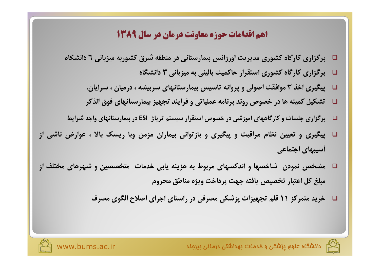- □ برگزاری کارگاه کشوری مدیریت اورژانس بیمارستانی در منطقه شرق کشوربه میزبانی ٦ دانشگاه
	- $\Box$  برگزاری کارگاه کشوری استقرار حاکمیت بالینی به میزبانی ۳ دانشگاه
	- □ \_ پیگیری اخذ ٣ موافقت اصولی و پروانه تاسیس بیمارستانهای سربیشه ، درمیان ، سرایان.
	- تشکیل کمیته ها در خصوص روند برنامه عملیاتی و فرایند تجهیز بیمارستانهای فوق الذکر  $\Box$
- ِ بِرگزاری جلسات و کارگاههای اَموزشی در خصوص استقرار سیستم تریاژ ESI در بیمارستانهای واجد شرایط  $\Box$
- □ پیگیری و تعیین نظام مراقبت و پیگیری و بازتوانی بیماران مزمن وبا ریسک بالا ، عوارض ناشی از أسيبهاي اجتماعي
- □ مشخص نمودن شاخصها و اندکسهای مربوط به هزینه پابی خدمات متخصصین و شهرهای مختلف از مبلغ كل اعتبار تخصيص يافته جهت يرداخت ويژه مناطق محروم
	- □ خرید متمرکز ١١ قلم تجهیزات پزشکی مصرفی در راستای اجرای اصلاح الگوی مصرف

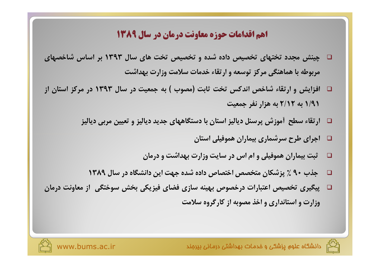- □ چینش مجدد تختهای تخصیص داده شده و تخصیص تخت های سال ۱۳۹۳ بر اساس شاخصهای مربوطه با هماهنگی مرکز توسعه و ارتقاء خدمات سلامت وزارت بهداشت
- □ افزایش و ارتقاء شاخص اندکس تخت ثابت (مصوب ) به جمعیت در سال ۱۳۹۳ در مرکز استان از ۹/۹۱ به ۲/۱۲ به هزار نفر جمعیت
	- □ ارتقاء سطح آموزش پرسنل دیالیز استان با دستگاههای جدید دیالیز و تعیین مربی دیالیز
		- □ اجرای طرح سرشماری بیماران هموفیلی استان
		- ثبت بیماران هموفیلی و ام اس در سایت وزارت بهداشت و درمان  $\Box$
		- □ جذب ٩٠ ٪ پزشکان متخصص اختصاص داده شده جهت این دانشگاه در سال ١٣٨٩
- □ پیگیری تخصیص اعتبارات درخصوص بهینه سازی فضای فیزیکی بخش سوختگی |ز معاونت درمان وزارت و استانداری و اخذ مصوبه از کارگروه سلامت

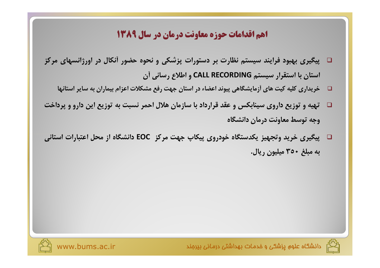- □۔ پیگیری بھبود فرایند سیستم نظارت بر دستورات پزشکی و نحوه حضور آنکال در اورژانسهای مرکز استان با استقرار سیستم CALL RECORDING و اطلاع رسانی آن
	- □ \_ خریداری کلیه کیت های اَزمایشگاهی پیوند اعضاء در استان جهت رفع مشکلات اعزام بیماران به سایر استانها
- □ تهیه و توزیع داروی سینابکس و عقد قرارداد با سازمان هلال احمر نسبت به توزیع این دارو و پرداخت وجه توسط معاونت درمان دانشگاه
- □ پیگیری خرید وتجهیز یکدستگاه خودروی پیکاپ جهت مرکز EOC دانشگاه از محل اعتبارات استانی به مبلغ ۳۵۰ میلیون ریال.





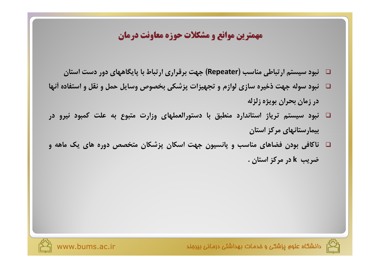#### مهمترین موانع و مشکلات حوزه معاونت درمان

- □ نبود سیستم ارتباطی مناسب (Repeater) جهت برقراری ارتباط با پایگاههای دور دست استان
- □ نبود سوله جهت ذخیره سازی لوازم و تجهیزات پزشکی بخصوص وسایل حمل و نقل و استفاده أنها در زمان بحران بويژه زلزله
- ا نبود سیستم تریاژ استاندارد منطبق با دستورالعملهای وزارت متبوع به علت کمبود نیرو در  $\Box$ بیمارستانهای مرکز استان
- □ ناکافی بودن فضاهای مناسب و پانسیون جهت اسکان پزشکان متخصص دوره های یک ماهه و ضريب k در مركز استان .



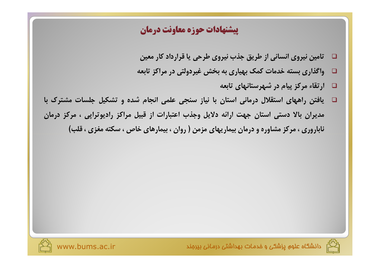#### **پیشنهادات حوزه معاونت درمان**

- تامین نیروی انسانی از طریق جذب نیروی طرحی یا قرارداد کار معین  $\Box$
- واگذاری بسته خدمات کمک بهیاری به بخش غیردولتی در مراکز تابعه  $\Box$ 
	- □ أرتقاء مركز پيام در شهرستانهای تابعه
- یافتن راههای استقلال درمانی استان با نیاز سنجی علمی انجام شده و تشکیل جلسات مشترک با  $\Box$ مدیران بالا دستی استان جهت ارائه دلایل وجذب اعتبارات از قبیل مراکز رادیوتراپی ، مرکز درمان ناباروری ، مرکز مشاوره و درمان بیماریهای مزمن ( روان ، بیمارهای خاص ، سکته مغزی ، قلب)



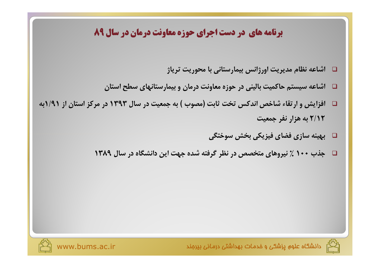## **برنامه های در دست اجرای حوزه معاونت درمان در سال ۸۹**

- $\Box$  اشاعه نظام مدیریت اورژانس بیمارستانی با محوریت تریاژ
- $\Box$  اشاعه سیستم حاکمیت بالینی در حوزه معاونت درمان و بیمارستانهای سطح استان  $\Box$
- افزایش و ارتقاء شاخص اندکس تخت ثابت (مصوب ) به جمعیت در سال ۱۳۹۳ در مرکز استان از ۱/۹۱به  $\Box$ ۲/۱۲ به هزار نفر جمعیت
	- □ \_ بهينه سازي فضاي فيزيكي بخش سوختگي
	- □ جذب ١٠٠ ٪ نيروهاي متخصص در نظر گرفته شده جهت اين دانشگاه در سال ١٣٨٩





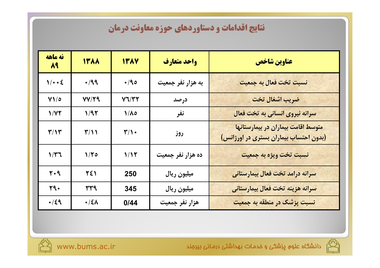## نتایج اقدامات و دستاوردهای حوزه معاونت درمان

| نه ماهه<br>$\mathcal{M}$ | <b>ITAA</b>             | <b>ITAY</b>             | واحد متعارف       | عناوين شاخص                                                                  |
|--------------------------|-------------------------|-------------------------|-------------------|------------------------------------------------------------------------------|
| 1/4.2                    | $+199$                  | 4/90                    | به هزار نفر جمعیت | نسبت تخت فعال به جمعیت                                                       |
| $Y1/\circ$               | VVIQ                    | Y7/YY                   | درصد              | ضريب اشغال تخت                                                               |
| 1/YY                     | 1/97                    | $1/\lambda$             | نفر               | سرانه نیروی انسانی به تخت فعال                                               |
| $\mathbf{r}/\mathbf{v}$  | $\mathbf{r}/\mathbf{v}$ | $\mathbf{r}/\mathbf{v}$ | روز               | متوسط اقامت بیماران در بیمارستانها<br>(بدون احتساب بیماران بستری در اورژانس) |
| 1/T                      | 1/70                    | 1/15                    | ده هزار نفر جمعیت | نسبت تخت ويژه به جمعيت                                                       |
| $Y \cdot 9$              | 221                     | 250                     | ميليون ريال       | سرانه درامد تخت فعال بیمارستان <mark>ی</mark>                                |
| $\mathbf{y}$             | ٣٣٩                     | 345                     | ميليون ريال       | سرانه هزينه تخت فعال بيمارستاني                                              |
| $+/\xi$ 9                | $\cdot/\xi\Lambda$      | 0/44                    | هزار نفر جمعیت    | نسبت پزشک در منطقه به جمعیت                                                  |



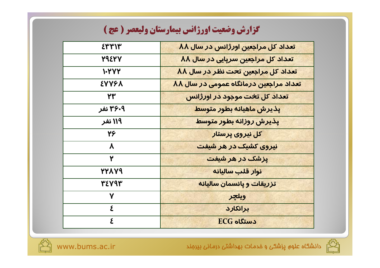# گزارش وضعیت اورژانس بیمارستان ولیعصر ( عج )

| ٤٣٣١٣                  | تعداد کل مراجعین اورژانس در سال ۸۸     |
|------------------------|----------------------------------------|
| 79277                  | تعداد کل مراجعین سرپایی در سال ۸۸      |
| 1.777                  | تعداد کل مراجعین تحت نظر در سال ۸۸     |
| <b>EYYFA</b>           | تعداد مراجعین درمانگاه عمومی در سال ۸۸ |
| 23                     | تعداد کل تخت موجود در اورژانس          |
| ۳۶۰۹ نفر               | پذیرش ماهیانه بطور متوسط               |
| ۱۱۹ نفر                | پذیرش روزانه بطور متوسط                |
| 24                     | کل نیروی پرستار                        |
| $\boldsymbol{\lambda}$ | نیروی کشیک در هر شیفت                  |
| ٢                      | <mark>پزش<i>ک در</i> هر شیفت</mark>    |
| <b>PYAY9</b>           | <mark>نوار قلب سالیانه</mark>          |
| 32843                  | تزریقات و یانسمان سالیانه              |
| $\mathbf v$            | ويلچر                                  |
| $\boldsymbol{\Sigma}$  | برانكارد                               |
| ٤                      | $EG$ دستگاه                            |



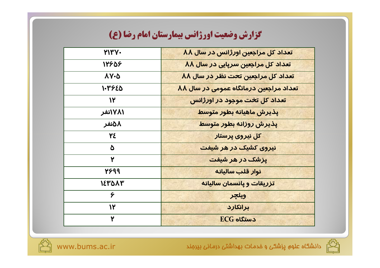# گزارش وضعیت اورژانس بیمارستان امام رضا (ع)

| <b>YITY.</b>   | تعداد کل مراجعین اورژانس در سال ۸۸     |
|----------------|----------------------------------------|
| 12908          | تعداد کل مراجعین سرپایی در سال ۸۸      |
| <b>AY-0</b>    | تعداد کل مراجعین تحت نظر در سال ۸۸     |
| <b>۱۰۳۶٤۵</b>  | تعداد مراجعین درمانگاه عمومی در سال ۸۸ |
| $\mathcal{U}$  | تعداد کل تخت موجود در اورژانس          |
| ۱۷۸۱نفر        | بذيرش ماهيانه بطور متوسط               |
| ٨٥نفر          | پذیرش روزانه بطور متوسط                |
| ٢٤             | کل نیروی پرستار                        |
| Δ              | نیروی کشیک در هر شیفت                  |
| ٢              | یزشک در هر شیفت                        |
| 2699           | نوار قلب ساليانه                       |
| <b>۱</b> ε۳۵۸۳ | تزریقات و پانسمان سالیانه              |
| ۶              | ويلچر                                  |
| ١٢             | برانكارد                               |
| ٢              | $EG$ دستگاه                            |



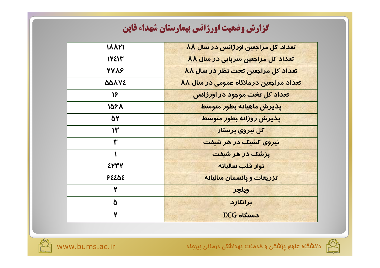## كزارش وضعيت اورژانس بيمارستان شهداء قاين

| 18811                   | تعداد کل مراجعین اورژانس در سال ۸۸     |
|-------------------------|----------------------------------------|
| 12213                   | تعداد کل مراجعین سرپایی در سال ۸۸      |
| 7788                    | تعداد کل مراجعین تحت نظر در سال ۸۸     |
| <b>BDAYE</b>            | تعداد مراجعین درمانگاه عمومی در سال ۸۸ |
| $\mathcal{V}$           | تعداد کل تخت موجود در اورژانس          |
| 1061                    | بذيرش ماهيانه بطور متوسط               |
| ۵۲                      | پذیرش روزانه بطور متوسط                |
| $\mathsf{I}^\mathsf{r}$ | کل نیروی پرستار                        |
| ۳                       | <mark>نیروی کشیک در هر شیفت</mark>     |
| $\mathbf{A}$            | یزشک در هر شیفت                        |
| ٤٣٣٢                    | نوار قلب ساليانه                       |
| 92202                   | <mark>تزریقات و یانسمان سالیانه</mark> |
| ٢                       | ويلجر                                  |
| ۵                       | برانكارد                               |
| ۲                       | $EG$ دستگاه                            |



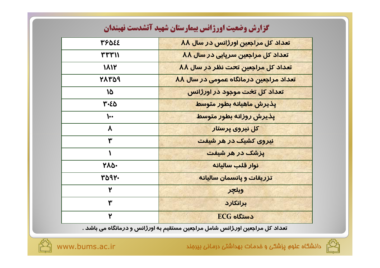| كزارش وصعيت اورزانس بيمارستان شهيد انشدست تهبندان |                                                            |  |
|---------------------------------------------------|------------------------------------------------------------|--|
| 33084                                             | تعداد کل مراجعین اورژانس در سال ۸۸                         |  |
| 374711                                            | تعداد کل مراجعین سرپایی در سال ۸۸                          |  |
| 1812                                              | <mark>تعداد کل مراجعین ت<del>ح</del>ت نظر در سال ۸۸</mark> |  |
| 18771                                             | تعداد مراجعین درمانگاه عمومی در سال ۸۸                     |  |
| 10                                                | تعداد کل تخت موجود در اورژانس                              |  |
| ۳-٤۵                                              | يذيرش ماهيانه بطور متوسط                                   |  |
| ₩.                                                | پذیرش روزانه بطور متوسط                                    |  |
| $\boldsymbol{\lambda}$                            | کل نیروی پرستار                                            |  |
| ۳                                                 | نیروی کشیک در هر شیفت                                      |  |
|                                                   | یزشک در هر شیفت                                            |  |
| ነለዕ-                                              | نوار قلب ساليانه                                           |  |
| 3097.                                             | تزریقات و پانسمان سالیانه                                  |  |
| ۲                                                 | ويلچر                                                      |  |
| ۳                                                 | برانكارد                                                   |  |
| ۲                                                 | $ECG$ دستگاه                                               |  |

تعداد کل مراجعین او*ر* ژانس شامل مراجعین مستقیم به او*ر*ژانس و درمانگاه می باشد .



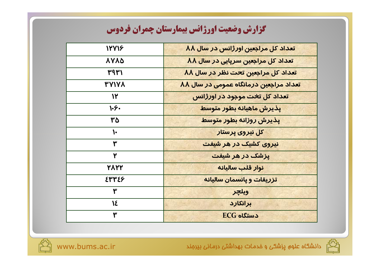# كزارش وضعيت اورژانس بيمارستان چمران فردوس

| 12718         | تعداد کل مراجعین اورژانس در سال ۸۸     |
|---------------|----------------------------------------|
| <b>AYAA</b>   | تعداد کل مراجعین سرپایی در سال ۸۸      |
| ۳۹۳۱          | تعداد کل مراجعین تحت نظر در سال ۸۸     |
| <b>TYIYA</b>  | تعداد مراجعین درمانگاه عمومی در سال ۸۸ |
| $\mathcal{N}$ | تعداد کل تخت موجود در اورژانس          |
| 1.4.          | بذيرش ماهيانه بطور متوسط               |
| ٣۵            | پذیرش روزانه بطور متوسط                |
| ١.            | کل نیروی پرستار                        |
| ۳             | نیروی کشیک در هر شیفت                  |
| ٢             | یزشک در هر شیفت                        |
| 7177          | نوار قلب ساليانه                       |
| ٤٣٣٤٦         | تزریقات و پانسمان سالیانه              |
| ۳             | ويلجر                                  |
| 18            | برانكارد                               |
| ۳             | $EG$ دستگاه                            |